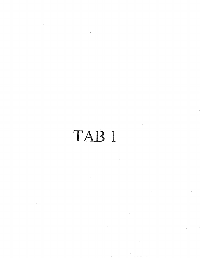# TAB 1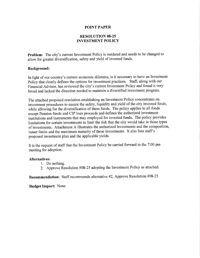#### POINT PAPER

# RESOLUTION 08-25 INVESTMENT POLICY

**Problem:** The city's allow for greater dive current Investment Policy is outdated and needs to be changed to allow for greater diversification, safety and yield of invested funds.

#### Background

nation and safety and yield of invested funds.<br> **Background:**<br>
In light of our country's current economic dilemma, is it necessary to have an Investment<br>
Policy that clearly defines the options for investment practices. St In light of our country's current economic dilemma, is it necessary to have an Investment Policy that clearly defines the options for investment practices. Staff, along with our Financial Advisor, has reviewed the city's c broad and lacked the direction needed to maintain a diversified investment program.

The attached proposed resolution establishing an Investment Policy concentrates on investment procedures to ensure the safety, liquidity and yield of the city invested funds, while allowing for the diversification of these funds. The policy applies to all funds except Pension funds and CIP loan proceeds and defines the authorized investment institutions and instruments that may employed for invested funds. The policy provides limitations for certain investments to limit the risk that the city would take in those types of investments. Attachment A illustrates the authorized investments and the composition, issuer limits and the maximum maturity of those investments. It also lists staff's proposed investment plan and the applicable yields

It is the request of staff that the Investment Policy be carried forward to the 7:00 pm meeting for adoption

## Alternatives

- 1. Do nothing.
- 2. Approve Resolution  $\#08-25$  adopting the Investment Policy as attached.

Recommendation: Staff recommends alternative  $#2$ , Approve Resolution  $#08-25$ 

Budget Impact: None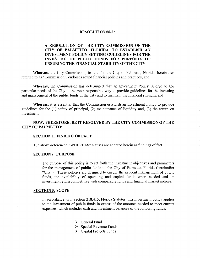#### **RESOLUTION 08-25**

# A RESOLUTION OF THE CITY COMMISSION OF HE CITY OF PALMETTO, FLORIDA, TO ESTABLISH AN INVESTMENT POLICY SETTING GUIDELINES FOR THE INVESTING OF PUBLIC FUNDS FOR PURPOSES OF ENSURING THE FINANCIAL STABILITY OF THE CITY

Whereas, the City Commission, in and for the City of Palmetto, Florida, hereinafter referred to as "Commission", endorses sound financial policies and practices; and

Whereas, the Commission has determined that an Investment Policy tailored to the particular needs of the City is the most responsible way to provide guidelines for the investing and management of the public funds of the City and to maintain the financial strength; and

Whereas, it is essential that the Commission establish an Investment Policy to provide guidelines for the  $(1)$  safety of principal,  $(2)$  maintenance of liquidity and,  $(3)$  the return on investment

# NOW, THEREFORE, BE IT RESOLVED BY THE CITY COMMISSION OF THE CITY OF PALMETTO

### **SECTION 1. FINDING OF FACT**

The above-referenced "WHEREAS" clauses are adopted herein as findings of fact.

#### **SECTION 2. PURPOSE**

The purpose of this policy is to set forth the investment objectives and parameters for the management of public funds of the City of Palmetto, Florida (hereinafter "City"). These policies are designed to ensure the prudent management of public funds, the availability of operating and capital funds when needed and an investment return competitive with comparable funds and financial market indices

#### **SECTION 3. SCOPE**

In accordance with Section 218.415, Florida Statutes, this investment policy applies to the investment of public funds in excess of the amounts needed to meet current expenses, which includes cash and investment balances of the following funds:

- $\triangleright$  General Fund
- $\triangleright$  Special Revenue Funds
- $\triangleright$  Capital Projects Funds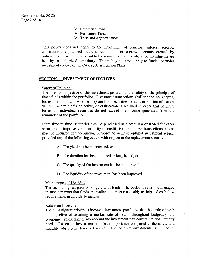- > Enterprise Funds
- $\triangleright$  Permanent Funds
- $\triangleright$  Trust and Agency Funds

This policy does not apply to the investment of principal, interest, reserve, construction, capitalized interest, redemption or escrow accounts created by ordinance or resolution pursuant to the issuance of bonds where the investments are held by an authorized depository. This policy does not apply to funds not under investment control of the City; such as Pension Plans.

#### SECTION 4. INVESTMENT OBJECTIVES

**ECTION 4. INVESTMENT OBJECTIVES**<br>Safety of Principal<br>The foremost objective of this investment program is the safety of the principal of those funds within the portfolios. Investment transactions shall seek to keep capital losses to a minimum, whether they are from securities defaults or erosion of market value. To attain this objective, diversification is required in order that potential losses on individual securities do not exceed the income generated from the remainder of the portfolio.

From time to time, securities may be purchased at a premium or traded for other securities to improve yield, maturity or credit risk. For these transactions, a loss may be incurred for accounting purposes to achieve optimal investment return provided any of the following occurs with respect to the replacement security:

- A. The yield has been increased, or
- B. The duration has been reduced or lengthened, or
- C. The quality of the investment has been improved
- D. The liquidity of the investment has been improved.

#### Maintenance of Liquidity

The second highest priority is liquidity of funds. The portfolios shall be managed in such a manner that funds are available to meet reasonably anticipated cash flow requirements in an orderly manner

#### Return on Investment

The third highest priority is income. Investment portfolios shall be designed with the objective of attaining a market rate of return throughout budgetary and economic cycles, taking into account the investment risk constraints and liquidity needs. Return on investment is of least importance compared to the safety and liquidity objectives described above. The core of investments is limited to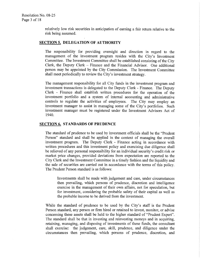relatively low risk securities in anticipation of earning a fair return relative to the risk being assumed

# SECTION 5. DELEGATION OF AUTHORITY

The responsibility for providing oversight and direction in regard to the The responsibility for providing oversight and direction in regard to the management of the investment program resides with the City's Investment Committee. The Investment Committee shall be established consisting of the C management of the investment program resides with the City's Investment Clerk, the Deputy Clerk – Finance and the Financial Advisor. One additional person may be appointed by the City Commission. The Investment Committee shall meet periodically to review the City's investment strategy. person may be appointed by the City Commission The Investment Committee shall meet periodically to review the City's investment strategy.

The management responsibility for all City funds in the investment program and investment transactions is delegated to the Deputy Clerk - Finance. The Deputy Clerk - Finance shall establish written procedures for the operation of the investment portfolio and a system of internal accounting and administrative controls to regulate the activities of employees. The City may employ an investment manager to assist in managing some of the City's portfolios. Such investment manager must be registered under the Investment Advisors Act of 1940

#### **SECTION 6. STANDARDS OF PRUDENCE**

The standard of prudence to be used by investment officials shall be the "Prudent" Person" standard and shall be applied in the context of managing the overall investment program. The Deputy Clerk - Finance acting in accordance with written procedures and this investment policy and exercising due diligence shall<br>be relieved of any personal responsibility for an individual security's credit risk or The standard of prudence to be used by investment officials shall be the "Prudent Person" standard and shall be applied in the context of managing the overall investment program. The Deputy Clerk - Finance acting in accord market price changes, provided deviations from expectation are reported to the City Clerk and the Investment Committee in <sup>a</sup> timely fashion and the liquidity and the sale of securities are carried out in accordance with the terms of this policy The Prudent Person standard is as follows

Investments shall be made with judgement and care, under circumstances then prevailing, which persons of prudence, discretion and intelligence exercise in the management of their own affairs, not for speculation, but for investment, considering the probable safety of their capital as well as the probable income to be derived from the investment

In the probable income to be derived from the investment<br>While the standard of prudence to be used by the City's<br>Person standard, any person or firm hired or retained to inve staff is the Prudent Person standard, any person or firm hired or retained to invest, monitor, or advise concerning these assets shall be held to the higher standard of "Prudent Expert". The standard shall be that in investing and reinvesting moneys and in acquiring retaining, managing, and disposing of investments of these funds, the consultant shall exercise: the judgement, care, skill, prudence, and diligence under the circumstances then prevailing, which persons of prudence, discretion, and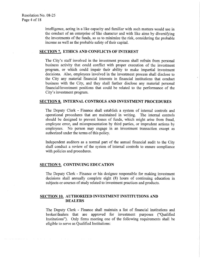intelligence acting in a like capacity and familiar with such matters would use in the conduct of an enterprise of like character and with like aims by diversifying the investments of the funds, so as to minimize the risk, considering the probable income as well as the probable safety of their capital

#### SECTION 7. ETHICS AND CONFLICTS OF INTEREST

CTION 7.<br>The City's<br>business ao staff involved in the investment process shall refrain from personal business activity that could conflict with proper execution of the investment program, or which could impair their ability to make impartial investment decisions. Also, employees involved in the investment process shall disclose to the City any material financial interests in financial institutions that conduct business with the City, and they shall further disclose any material personal business with the City, and they shall further disclose any material personal financial/investment positions that could be related to the performance of the the China<br>
financi<br>
City's City's investment program.

#### SECTION 8 INTERNAL CONTROLS AND INVESTMENT PROCEDURES

The Deputy Clerk - Finance shall establish a system of internal controls and operational procedures that are maintained in writing. The internal controls should be designed to prevent losses of funds, which might arise from fraud, employee error, and misrepresentation by third parties, or imprudent actions by employees. No person may engage in an investment transaction except as authorized under the terms of this policy

Independent auditors as a normal part of the annual financial audit to the City shall conduct a review of the system of internal controls to ensure compliance with policies and procedures.

# SECTION 9. CONTINUING EDUCATION

The Deputy Clerk - Finance or his designee responsible for making investment decisions shall annually complete eight  $(8)$  hours of continuing education in subjects or courses of study related to investment practices and products

# SECTION 10. AUTHORIZED INVESTMENT INSTITUTIONS AND DEALERS

The Deputy Clerk - Finance shall maintain a list of financial institutions and broker/dealers that are approved for investment purposes ("Qualified Institutions"). Only firms meeting one of the following requirements shall be eligible to serve as Qualified Institutions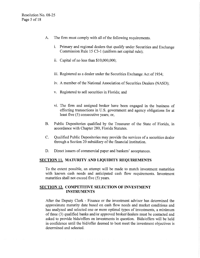- A. The firm must comply with all of the following requirements.
	- I he firm must comply with all of the following requirements.<br>i. Primary and regional dealers that qualify under Securities and Exchange Primary and regional dealers that qualify under Secu<br>Commission Rule 15 C3-1 (uniform net capital rule); Commission Rule 15 C3-1 (uniform net capital rule);<br>ii. Capital of no less than \$10,000,000;
	-
	- iii. Registered as a dealer under the Securities Exchange Act of 1934;
	- iv. A member of the National Association of Securities Dealers (NASD);
	- v. Registered to sell securities in Florida; and
	- vi. The firm and assigned broker have been engaged in the business of effecting transactions in U.S. government and agency obligations for at least five  $(5)$  consecutive years; or,
- B. Public Depositories qualified by the Treasurer of the State of Florida, in accordance with Chapter 280, Florida Statutes.
- C. Qualified Public Depositories may provide the services of a securities dealer through a Section 20 subsidiary of the financial institution.
- D. Direct issuers of commercial paper and bankers' acceptances.

# SECTION 11. MATURITY AND LIQUIDITY REQUIREMENTS

To the extent possible an attempt will be made to match investment maturities with known cash needs and anticipated cash flow requirements. Investment maturities shall not exceed five  $(5)$  years.

# SECTION 12. COMPETITIVE SELECTION OF INVESTMENT INSTRUMENTS

After the Deputy Clerk - Finance or the investment advisor has determined the approximate maturity date based on cash flow needs and market conditions and has analyzed and selected one or more optimal types of investments, a minimum of three (3) qualified banks and/or approved broker/dealers must be contacted and asked to provide bids/offers on investments in question. Bids/offers will be held in confidence until the bid/offer deemed to best meet the investment objectives is determined and selected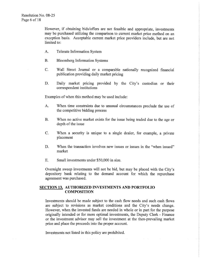However, if obtaining bids/offers are not feasible and appropriate, investments may be purchased utilizing the comparison to current market price method on an exception basis. Acceptable current market price providers include, but are not limited to:

- A. Telerate Information System
- B. Bloomberg Information Systems
- C. Wall Street Journal or a comparable nationally recognized financial publication providing daily market pricing
- E. Wall Street Journal of a comparable mationary<br>publication providing daily market pricing<br>D. Daily market pricing provided by the City's<br>correspondent institutions custodian or their correspondent institutions

Examples of when this method may be used include:

- A. When time constraints due to unusual circumstances preclude the use of the competitive bidding process
- **B.** When no active market exists for the issue being traded due to the age or depth of the issue
- C. When a security is unique to a single dealer, for example, a private placement
- D. When the transaction involves new issues or issues in the "when issued" market
- E. Small investments under  $$50,000$  in size.

E. Small investments under \$50,000 in size.<br>Overnight sweep investments will not be bid, but may be placed with the City's depository bank relating to the demand account for which the repurchase agreement was purchased.

# SECTION 13. AUTHORIZED INVESTMENTS AND PORTFOLIO **COMPOSITION**

Investments should be made subject to the cash flow needs and such cash flows Investments should be made subject to the cash flow needs and are subject to revisions as market conditions and the City's However, when the invested funds are needed in whole or in part are subject to revisions as market conditions and the City's needs change. However, when the invested funds are needed in whole or in part for the purpose originally intended or for more optimal investments, the Deputy Clerk - Finance<br>or the investment advisor may sell the investment at the then-prevailing market<br>price and place the proceeds into the proper account price and place the proceeds into the proper account

Investments not listed in this policy are prohibited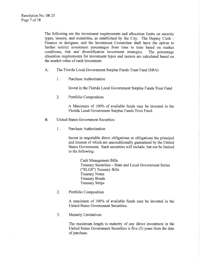The following are the investment requirements and allocation limits on security types, issuers, and maturities, as established by the City. The Deputy Clerk -Finance or designee, and the Investment Committee shall have the option to further restrict investment percentages from time to time based on market conditions, risk and diversification investment strategies. The percentage allocation requirements for investment types and issuers are calculated based on the market value of each investment.

- A. The Florida Local Government Surplus Funds Trust Fund (SBA)
	- 1. Purchase Authorization

Invest in the Florida Local Government Surplus Funds Trust Fund

2. Portfolio Composition

A Maximum of 100% of available funds may be invested in the Florida Local Government Surplus Funds Trust Fund

- B. United States Government Securities
	- 1. Purchase Authorization

Invest in negotiable direct obligations or obligations the principal and interest of which are unconditionally guaranteed by the United States Government. Such securities will include, but not be limited to the following

> Cash Management Bills Treasury Securities - State and Local Government Series ("SLGS") Treasury Bills Treasury Notes Treasury Bonds Treasury Strips

2. Portfolio Composition

A maximum of 100% of available funds may be invested in the United States Government Securities

3. Maturity Limitations

The maximum length to maturity of any direct investment in the United States Government Securities is five (5) years from the date of purchase.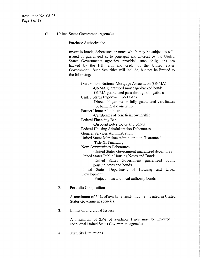- C. United States Government Agencies
	- 1. Purchase Authorization

Invest in bonds, debentures or notes which may be subject to call, issued or guaranteed as to principal and interest by the United States Governments agencies, provided such obligations are backed by the full faith and credit of the United States Government. Such Securities will include, but not be limited to the following

Government National Mortgage Association GNMA -GNMA guaranteed mortgage-backed bonds GNMA guaranteed pass through obligations United States Export - Import Bank Direct obligations or fully guaranteed certificates of beneficial ownership Farmer Home Administration -Certificates of beneficial ownership Federal Financing Bank -Discount notes, notes and bonds Federal Housing Administration Debentures General Services Administration United States Maritime Administration Guaranteed Title XI Financing New Communities Debentures United States Government guaranteed debentures United States Public Housing Notes and Bonds United States Government guaranteed public housing notes and bonds United States Department of Housing and Urban Development Project notes and local authority bonds

2. Portfolio Composition

A maximum of 50% of available funds may be invested in United States Government agencies

3. Limits on Individual Issuers

A maximum of 25% of available funds may be invested in individual United States Government agencies

4 Maturity Limitations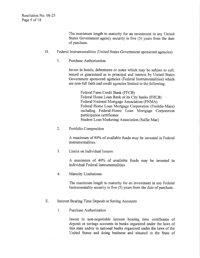The maximum length to maturity for an investment in any United States Government agency security is five  $(5)$  years from the date of purchase.

# D. Federal Instrumentalities (United States Government sponsored agencies)

1. Purchase Authorization

Invest in bonds, debentures or notes which may be subject to call. issued or guaranteed as to principal and interest by United States Government sponsored agencies (Federal Instrumentalities) which are non-full faith and credit agencies limited to the following:

> Federal Farm Credit Bank (FFCB) Federal Home Loan Bank or its City banks (FHLB) Federal National Mortgage Association (FNMA) Federal Home Loan Mortgage Corporation (Freddie-Macs) including Federal Home Loan Mortgage Corporation participation certificates Student Loan Marketing Association (Sallie Mae)

2. Portfolio Composition

A maximum of 80% of available funds may be invested in Federal instrumentalities

3 Limits on Individual Issuers

A maximum of 40% of available funds may be invested in individual Federal Instrumentalities

4. Maturity Limitations

The maximum length to maturity for an investment in any Federal Instrumentality security is five  $(5)$  years from the date of purchase.

- E. Interest Bearing Time Deposit or Saving Accounts
	- 1. Purchase Authorization

Invest in non-negotiable interest bearing time certificates of deposit or savings accounts in banks organized under the laws of this state and/or in national banks organized under the laws of the United States and doing business and situated in the State of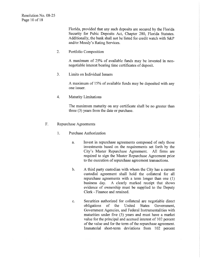Florida provided that any such deposits are secured by the Florida Security for Pubic Deposits Act, Chapter 280, Florida Statutes.<br>Additionally, the bank shall not be listed for credit watch with S&P Florida, provided that any such of<br>Security for Pubic Deposits A<br>Additionally, the bank shall not l<br>and/or Moody's Rating Services

2. Portfolio Composition

A maximum of 25% of available funds may be invested in nonnegotiable interest bearing time certificates of deposit.

3. Limits on Individual Issuers

A maximum of 15% of available funds may be deposited with any one issuer

4. Maturity Limitations

The maximum maturity on any certificate shall be no greater than three  $(3)$  years from the date or purchase.

- F. Repurchase Agreements
	- 1 Purchase Authorization
		- a. Invest in repurchase agreements composed of only those investments based on the requirements set forth by the Invest<br>invest<br>City's<br>requir City's Master Repurchase Agreement. All firms are required to sign the Master Repurchase Agreement prior to the execution of repurchase agreement transactions.
		- b. A third party custodian with whom the City has a current custodial agreement shall hold the collateral for all repurchase agreements with a term longer than one (1) business day. A clearly marked receipt that shows A clearly marked receipt that shows evidence of ownership must be supplied to the Deputy Clerk - Finance and retained.
		- c. Securities authorized for collateral are negotiable direct obligations of the United States Government, the United Government Agencies, and Federal Instrumentalities with maturities under five  $(5)$  years and must have a market value for the principal and accrued interest of <sup>102</sup> percent of the value and for the term of the repurchase agreement. Immaterial short term deviations from <sup>102</sup> percent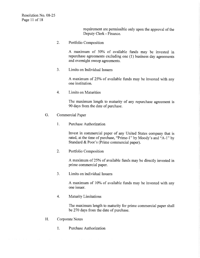requirement are permissible only upon the approval of the Deputy Clerk - Finance.

2. Portfolio Composition

A maximum of 50% of available funds may be invested in repurchase agreements excluding one  $(1)$  business day agreements and overnight sweep agreements

3. Limits on Individual Issuers

A maximum of 25% of available funds may be invested with any one institution

4. Limits on Maturities

The maximum length to maturity of any repurchase agreement is 90 days from the date of purchase.

- G. Commercial Paper
	- 1. Purchase Authorization

Invest in commercial paper of any United States company that is Purchase Authorization<br>
Invest in commercial paper of any United States company that is<br>
rated, at the time of purchase, "Prime-1" by Moody's and "A-1" by<br>
Standard & Poor's (Prime commercial paper).

2. Portfolio Composition

A maximum of 25% of available funds may be directly invested in prime commercial paper

3. Limits on individual Issuers

A maximum of 10% of available funds may be invested with any one issuer

4. Maturity Limitations

The maximum length to maturity for prime commercial paper shall be 270 days from the date of purchase.

- H. Corporate Notes
	- 1. Purchase Authorization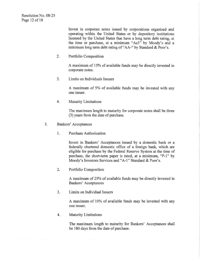Invest in corporate notes issued by corporations organized and operating within the United States or by depository institutions licensed by the United States that have a long term debt rating at Invest in corporate notes issued by corporations organize<br>operating within the United States or by depository insti<br>licensed by the United States that have a long term debt rat<br>the time or purchase, at a minimum "Aa3" by M and a operating within the United States or by depository institution-<br>licensed by the United States that have a long term debt rating<br>the time or purchase, at a minimum "Aa3" by Moody's and<br>minimum long term debt rating of "AA-

2. Portfolio Composition

A maximum of 15% of available funds may be directly invested in corporate notes

3. Limits on Individuals Issuers

A maximum of 5% of available funds may be invested with any one issuer

4. Maturity Limitations

The maximum length to maturity for corporate notes shall be three  $(3)$  years from the date of purchase.

- I. Bankers' Acceptances
	- 1. Purchase Authorization

Invest in Bankers' Acceptances issued by a domestic bank or a federally chartered domestic office of a foreign bank, which are eligible for purchase by the Federal Reserve System at the time of purchase, the short-term paper is rated, at a minimum, "P-1" by Moody's Investors Service eligible for purchase by the Federal Reserve System at the time of purchase, the short-term paper is rated, at a minimum, "P-1" by Invest in<br>federally<br>eligible fo<br>purchase,<br>Moody's<br>Portfolio chartered domestic office of a foreign bank, wor purchase by the Federal Reserve System at the the short-term paper is rated, at a minimum, 'Investors Services and "A-1" Standard & Poor's.

2. Portfolio Composition

A maximum of 25% of available funds may be directly invested in Bankers' Acceptances

3 Limits on Individual Issuers

A maximum of 10% of available funds may be invested with any one issuer

4. Maturity Limitations

The maximum length to maturity for Bankers' Acceptances shall be <sup>180</sup> days from the date of purchase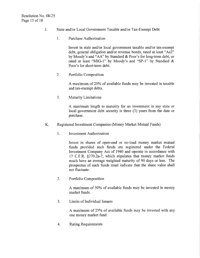- J. State and/or Local Government Taxable and/or Tax-Exempt Debt
	- 1. Purchase Authorization

Invest in state and/or local government taxable and/or tax-exempt Invest in state and/or local government taxable and/or tax-exempt<br>debt, general obligation and/or revenue bonds, rated at least "Aa2" Purchase Au<br>Invest in sta<br>debt, general<br>by Moody's<br>rated at leas te and/or local government taxable and/or tax-exempt<br>
obligation and/or revenue bonds, rated at least "Aa2"<br>
and "AA" by Standard & Poor's for long-term debt, or<br>
it "MIG-1" by Moody's and "SP-1" by Standard & Invest in state and/or local government<br>debt, general obligation and/or revenu<br>by Moody's and "AA" by Standard &<br>rated at least "MIG-1" by Moody's<br>Poor's for short-term debt. it taxable and/or tax-exer<br>e bonds, rated at least "Aa<br>Poor's for long-term debt<br>and "SP-1" by Standard by Moody's and "AA" by Standard & Poor's for long-term debt, or rated at least "MIG-1" by Moody's and "SP-1" by Standard & Poor's for short-term debt.

2. Portfolio Composition

A maximum of 20% of available funds may be invested in taxable and tax-exempt debts.

3. Maturity Limitations

A maximum length to maturity for an investment in any state or local government debt security is three  $(3)$  years from the date or purchase

- K. Registered Investment Companies (Money Market Mutual Funds)
	- 1. Investment Authorization

Invest in shares of open-end or no-load money market mutual funds provided such funds are registered under the Federal Investment Company Act of 1940 and operate in accordance with Investment Addition<br>17 C.F.R. §270.2a-7,<br>17 C.F.R. §270.2a-7,<br>nuch have an average 17 C.F.R. §270.2a-7, which stipulates that money market funds much have an average weighted maturity of 90 days or less. The prospectus of such funds must indicate that the share value shall not fluctuate

2. Portfolio Composition

A maximum of 50% of available funds may be invested in money market funds

3. Limits of Individual Issuers

A maximum of 25% of available funds may be invested with any one money market fund

4. Rating Requirements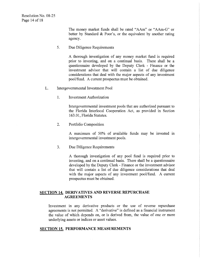The money market funds shall be rated "AAm" or "AAm-G" or<br>better by Standard & Poor's, or the equivalent by another rating The money market funds shall be rated "AAm" or "AAm-G" or better by Standard & Poor's, or the equivalent by another rating agency. agency

5. Due Diligence Requirements

A thorough investigation of any money market fund is required prior to investing, and on a continual basis. There shall be a questionnaire developed by the Deputy Clerk - Finance or the investment advisor that will contain a list of due diligence considerations that deal with the major aspects of any investment pool/fund. A current prospectus must be obtained.

- L. Intergovernmental Investment Pool
	- 1. Investment Authorization

Intergovernmental investment pools that are authorized pursuant to the Florida Interlocal Cooperation Act, as provided in Section 163.01, Florida Statutes.

2. Portfolio Composition

A maximum of 50% of available funds may be invested in intergovernmental investment pools

3. Due Diligence Requirements

A thorough investigation of any pool fund is required prior to investing, and on a continual basis. There shall be a questionnaire developed by the Deputy Clerk - Finance or the investment advisor that will contain a list of due diligence considerations that deal with the major aspects of any investment pool/fund. A current prospectus must be obtained

# SECTION 14. DERIVATIVES AND REVERSE REPURCHASE **AGREEMENTS**

Investment in any derivative products or the use of reverse repurchase agreements is not permitted. A "derivative" is defined as a financial instrument the value of which depends on, or is derived from, the value of one or more underlying assets or indices or asset values

## SECTION 15. PERFORMANCE MEASUREMENTS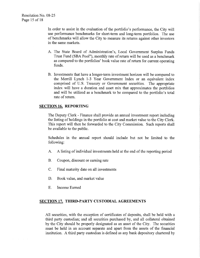In order to assist in the evaluation of the portfolio's performance, the City will<br>use performance benchmarks for short-term and long-term portfolios. The use<br>of benchmarks will allow the City to measure its returns agains of benchmarks will allow the City to measure its returns against other investors in the same markets A The State Board of the portfolio's performance, the City will<br>use performance benchmarks for short-term and long-term portfolios. The use<br>of benchmarks will allow the City to measure its returns against other investors<br>i

- Trust Fund (SBA Pool"), monthly rate of return will be used as a benchmark as compared to the portfolios' book value rate of return for current operating funds
- B. Investments that have a longer-term investment horizon will be compared to Investments that have a longer-term investment horizon will be compared to<br>the Merrill Lynch 1-3 Year Government Index or an equivalent index the Merrill Lynch 1-3 Year Government Index or an equivalent index<br>comprised of U.S. Treasury or Government securities. The appropriate index will have a duration and asset mix that approximates the portfolios Investments that have a longer-term investment horizon will be compare<br>the Merrill Lynch 1-3 Year Government Index or an equivalent is<br>comprised of U.S. Treasury or Government securities. The approp<br>index will have a durat and will be utilized as a benchmark to be compared to the portfolio's total rate of return.

#### SECTION 16. REPORTING

The Deputy Clerk - Finance shall provide an annual investment report including the listing of holdings in the portfolio at cost and market value to the City Clerk. This report will then be forwarded to the City Commission. Such reports shall be available to the public

Schedules in the annual report should include but not be limited to the following

- A. A listing of individual investments held at the end of the reporting period
- B. Coupon, discount or earning rate
- C. Final maturity date on all investments
- D. Book value, and market value
- E. Income Earned

#### SECTION 17. THIRD-PARTY CUSTODIAL AGREEMENTS

All securities, with the exception of certificates of deposits, shall be held with a third party custodian; and all securities purchased by, and all collateral obtained by the City should be properly designated as an asset of the City. The securities must be held in an account separate and apart from the assets of the financial institution. A third party custodian is defined as any bank depository chartered by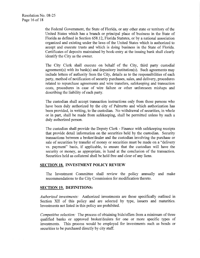the Federal Government, the State of Florida, or any other state or territory of the United States which has a branch or principal place of business in the State of Florida as defined in Section 658.12, Florida Statutes, or by a national association organized and existing under the laws of the United States which is authorized to accept and execute trusts and which is doing business in the State of Florida Certificates of deposits maintained by book-entry at the issuing bank shall clearly identify the City as the owner Fiorida as defined<br>organized and<br>accept and ex<br>Certificates of<br>identify the C:<br>The City Cla<br>agreement(s)<br>include letters<br>party, method 558.12, Florida Statutes, or by<br>the laws of the United States<br>d which is doing business in<br>ained by book-entry at the issues<br>tate on behalf of the City,<br>and depository institution(s).<br>om the City, details as to the r<br>of se

The City Clerk shall execute on behalf of the City, third party custodial identify the City as the owner.<br>The City Clerk shall execute on behalf of the City, third party custodial<br>agreement(s) with its bank(s) and depository institution(s). Such agreements may<br>include letters of authority from t agreement(s) with its bank(s) and depository institution(s). Such agreements may party, method of notification of security purchases, sales, and delivery, procedures related to repurchase agreements and wire transfers, safekeeping and transaction costs, procedures in case of wire failure or other unforeseen mishaps and describing the liability of each party

The custodian shall accept transaction instructions only from those persons who have been duly authorized by the city of Palmetto and which authorization has been provided, in writing, to the custodian. No withdrawal of securities, in whole or in part, shall be made from safekeeping, shall be permitted unless by such a duly authorized person

The custodian shall provide the Deputy Clerk - Finance with safekeeping receipts that provide detail information on the securities held by the custodian. Security transactions between a broker/dealer and the custodian involving the purchase or sale of securities by transfer of money or securities must be made on a "delivery The custodian shall provide the Deputy Clerk - Finance with safekeeping receipts<br>that provide detail information on the securities held by the custodian. Security<br>transactions between a broker/dealer and the custodian invo vs. payment" basis, if applicable, to ensure that the custodian will have the security or money, as appropriate, in hand at the conclusion of the transaction. Securities held as collateral shall be held free and clear of any liens.

# SECTION 18. INVESTMENT POLICY REVIEW

The Investment Committee shall review the policy annually and make recommendations to the City Commission for modification thereto

# SECTION 19. DEFINITIONS:

Authorized investments: Authorized investments are those specifically outlined in Section XII of this policy and are selected by type, issuers and maturities. Investments not listed in this policy are prohibited

Competitive selection: The process of obtaining bids/offers from a minimum of three qualified banks or approved broker/dealers for one or more specific types of investments. This process would be employed for investments such as bonds or securities to be purchased directly by city staff.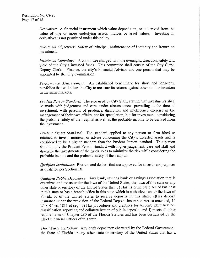Derivative: A financial instrument which value depends on, or is derived from the value of one or more underlying assets, indices or asset values. Investing in value of one or more underlying assets, indices or asset values. derivatives is not permitted under this policy.

*Investment Objectives*: Safety of Principal, Maintenance of Liquidity and Return on Investment

Investment Committee: A committee charged with the oversight, direction, safety and yield of the City's invested funds. This committee shall consist of the City Clerk, Investment Committee: A committee charged with the oversight, direction, safety and<br>yield of the City's invested funds. This committee shall consist of the City Clerk,<br>Deputy Clerk – Finance, the city's Financial Advisor a *Investment Committee:* A committed yield of the City's invested funds.<br>Deputy Clerk – Finance, the city's appointed by the City Commission. Financial Advisor and one person that may be appointed by the City Commission

Performance Measurement: An established benchmark for short and long-term portfolios that will allow the City to measure its returns against other similar investors in the same markets

Prudent Person Standard: The rule used by City Staff, stating that investments shall be made with judgement and care, under circumstances prevailing at the time of investment, with persons of prudence, discretion and intelligence exercise in the management of their own affairs, not for speculation, but for investment, considering the probable safety of their capital as well as the probable income to be derived from the investment

Prudent Expert Standard: The standard applied to any person or firm hired or Prudent Expert Standard: The standard applied to any person or firm hired or<br>retained to invest, monitor, or advise concerning the City's invested assets and is<br>considered to be a higher standard than the Prudent Person st retained to invest, monitor, or advise concerning the City's invested assets and is should apply the Prudent Person standard with higher judgement, care and skill and diversify the investments of the funds so as to minimize the risk while considering the probable income and the probable safety of their capital.

Qualified Institutions: Brokers and dealers that are approved for investment purposes as qualified per Section IX

Qualified Public Depository: Any bank, savings bank or savings association that is organized and exists under the laws of the United States, the laws of this state or any other state or territory of the United States that: 1) Has its principal place of business in this state or has <sup>a</sup> branch office in this state which is authorized under the laws of other state or territory of the United States that: 1) Has its principal place of business<br>in this state or has a branch office in this state which is authorized under the laws of<br>Florida or of the United States to receive insurance under the provision of the Federal Deposit Insurance Act as amended, 12 classification, reporting and collateralization of public deposits; and 4) meets all other requirements of Chapter 280 of the Florida Statutes and has been designated by the Chief Financial Officer of this state.

Third Party Custodian: Any bank depository chartered by the Federal Government, the State of Florida or any other state or territory of the United States that has <sup>a</sup>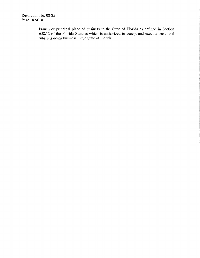branch or principal place of business in the State of Florida as defined in Section 658.12 of the Florida Statutes which is authorized to accept and execute trusts and which is doing business in the State of Florida.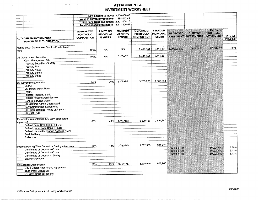# **ATTACHMENT A INVESTMENT WORKSHEET**

|                                                                                                                      | New amount to invest 3,500,000.00<br>Value of current investments<br>Trailer Park Trust Investment 2,427,408.15<br><b>Total Proposed Investments</b> |                                                         | 484,442.42<br>6,411,850.57                         |                                                             |                                                 |                          |                                          |                                                      |                             |
|----------------------------------------------------------------------------------------------------------------------|------------------------------------------------------------------------------------------------------------------------------------------------------|---------------------------------------------------------|----------------------------------------------------|-------------------------------------------------------------|-------------------------------------------------|--------------------------|------------------------------------------|------------------------------------------------------|-----------------------------|
|                                                                                                                      |                                                                                                                                                      |                                                         |                                                    |                                                             |                                                 |                          |                                          |                                                      |                             |
| <b>AUTHORIZED INVESTMENTS</b>                                                                                        | <b>AUTHORIZED</b><br><b>PORTFOLIO</b><br><b>COMPOSITION</b>                                                                                          | <b>LIMITS ON</b><br><b>INDIVIDUAL</b><br><b>ISSUERS</b> | <b>MAXIMUM</b><br><b>MATURITY</b><br><b>LENGTH</b> | <b>\$ MAXIMUM</b><br><b>PORTFOLIO</b><br><b>COMPOSITION</b> | \$ MAXIUM<br><b>INDIVIDUAL</b><br><b>ISSUER</b> | <b>PROPOSED</b>          | <b>CURRENT</b><br>INVESTMENT INVESTMENTS | <b>TOTAL</b><br><b>PROPOSED</b><br><b>INVESTMENT</b> | <b>RATE AT</b><br>9/28/2008 |
| <b>PURCHASE AUTHORIZATION</b>                                                                                        |                                                                                                                                                      |                                                         |                                                    |                                                             |                                                 |                          |                                          |                                                      |                             |
| Florida Local Government Surplus Funds Trust<br>Fund                                                                 | 100%                                                                                                                                                 | N/A                                                     | N/A                                                | 6,411,851                                                   | 6.411.851                                       | 1,000,000.00             | 317,514.82                               | 1.317.514.82                                         | 1.98%                       |
| <b>US Government Securities</b>                                                                                      | 100%                                                                                                                                                 | N/A                                                     | 5 YEARS                                            | 6,411,851                                                   | 6,411,851                                       |                          |                                          |                                                      |                             |
| <b>Cash Management Bills</b><br><b>Treasury Securities (SLGS)</b><br><b>Treasury Bills</b><br><b>Treasury Notes</b>  |                                                                                                                                                      |                                                         |                                                    |                                                             |                                                 |                          |                                          |                                                      |                             |
| <b>Treasury Bonds</b><br><b>Treasury Strips</b>                                                                      |                                                                                                                                                      |                                                         |                                                    |                                                             |                                                 |                          |                                          |                                                      |                             |
| <b>US Government Agencies</b><br><b>GNMA</b>                                                                         | 50%                                                                                                                                                  | 25%                                                     | 5 YEARS                                            | 3,205,925                                                   | 1,602,963                                       |                          |                                          |                                                      |                             |
| <b>US Import-Export Bank</b><br><b>FmHA</b>                                                                          |                                                                                                                                                      |                                                         |                                                    |                                                             |                                                 |                          |                                          |                                                      |                             |
| <b>Federal Financing Bank</b><br><b>Federal Housing Administration</b><br><b>General Services Admin</b>              |                                                                                                                                                      |                                                         |                                                    |                                                             |                                                 |                          |                                          |                                                      |                             |
| <b>US Maritime Admin Guaranteed</b><br><b>New Communities Debentures</b><br><b>US Public Housing Notes and Bonds</b> |                                                                                                                                                      |                                                         |                                                    |                                                             |                                                 |                          |                                          |                                                      |                             |
| <b>US Dept HUD</b>                                                                                                   |                                                                                                                                                      |                                                         |                                                    |                                                             |                                                 |                          |                                          |                                                      |                             |
| Federal Instrumentalities (US Govt sponsored<br>agencies)                                                            | 80%                                                                                                                                                  | 40%                                                     | 5 YEARS                                            | 5,129,480                                                   | 2,564,740                                       |                          |                                          |                                                      |                             |
| Federal Farm Credit Bank (FFCB)<br>Federal Home Loan Bank (FHLB)                                                     |                                                                                                                                                      |                                                         |                                                    |                                                             |                                                 |                          |                                          |                                                      |                             |
| Federal National Mortgage Assoc (FNMA)<br>Freddie-Macs                                                               |                                                                                                                                                      |                                                         |                                                    |                                                             |                                                 |                          |                                          |                                                      |                             |
| Sallie Mae                                                                                                           |                                                                                                                                                      |                                                         |                                                    |                                                             |                                                 |                          |                                          |                                                      |                             |
| Interest Bearing Time Deposit or Savings Accounts                                                                    | 25%                                                                                                                                                  | 15%                                                     | 3 YEARS                                            | 1,602,963                                                   | 961,778                                         | 500,000.00               |                                          | 500,000.00                                           | 3.38%                       |
| Certificates of Deposit - 60 day<br>Certificates of Deposit - 90 day<br>Certificates of Deposit - 180 day            |                                                                                                                                                      |                                                         |                                                    |                                                             |                                                 | 600,000.00<br>500,000.00 |                                          | 600,000.00<br>500,000.00                             | 3.43%<br>3.43%              |
| <b>Savings Accounts</b>                                                                                              |                                                                                                                                                      |                                                         |                                                    |                                                             |                                                 |                          |                                          |                                                      |                             |
| Repurchase Agreements<br>City's Master Repurchase Agreement<br><b>Third Party Custodian</b>                          | 50%                                                                                                                                                  | 25%                                                     | 90 DAYS                                            | 3,205,925                                                   | 1,602,963                                       |                          |                                          |                                                      |                             |
| <b>US Govt direct obligations</b>                                                                                    |                                                                                                                                                      |                                                         |                                                    |                                                             |                                                 |                          |                                          |                                                      |                             |
|                                                                                                                      |                                                                                                                                                      |                                                         |                                                    |                                                             |                                                 |                          |                                          |                                                      |                             |
| X:\Finance\Policy\Investment Policy worksheet.xls                                                                    |                                                                                                                                                      |                                                         |                                                    |                                                             |                                                 |                          |                                          |                                                      | 9/30/200                    |
|                                                                                                                      |                                                                                                                                                      |                                                         |                                                    |                                                             |                                                 |                          |                                          |                                                      |                             |

f0 i

 $\label{thm:main}$ 

j<br><sub>S</sub> j I N

 $\label{eq:3} \begin{split} \mathcal{L}_{\text{max}}(\mathbf{y}) = \mathcal{L}_{\text{max}}(\mathbf{y}) = \mathcal{L}_{\text{max}}(\mathbf{y}) = \mathcal{L}_{\text{max}}(\mathbf{y}) = \mathcal{L}_{\text{max}}(\mathbf{y}) = \mathcal{L}_{\text{max}}(\mathbf{y}) = \mathcal{L}_{\text{max}}(\mathbf{y}) = \mathcal{L}_{\text{max}}(\mathbf{y}) = \mathcal{L}_{\text{max}}(\mathbf{y}) = \mathcal{L}_{\text{max}}(\mathbf{y}) = \mathcal{L}_{\text{max}}(\mathbf{y}) = \mathcal{L}_{\text{max$ 

<sup>i</sup> T T

Ni

.<br>......

I I

i<br>Operator van pous of video management

 $\mathbb{E}[\mathbb{E}_{\mathbf{z}}(\mathbf{z}|\mathbf{z})]$  ,  $\mathbb{E}_{\mathbf{z}}(\mathbf{z}|\mathbf{z})$  ,  $\mathbb{E}_{\mathbf{z}}(\mathbf{z}|\mathbf{z})$ 

a great  $\epsilon$  or  $\epsilon$  and  $\epsilon$  are the second  $\epsilon$  . The  $\epsilon$